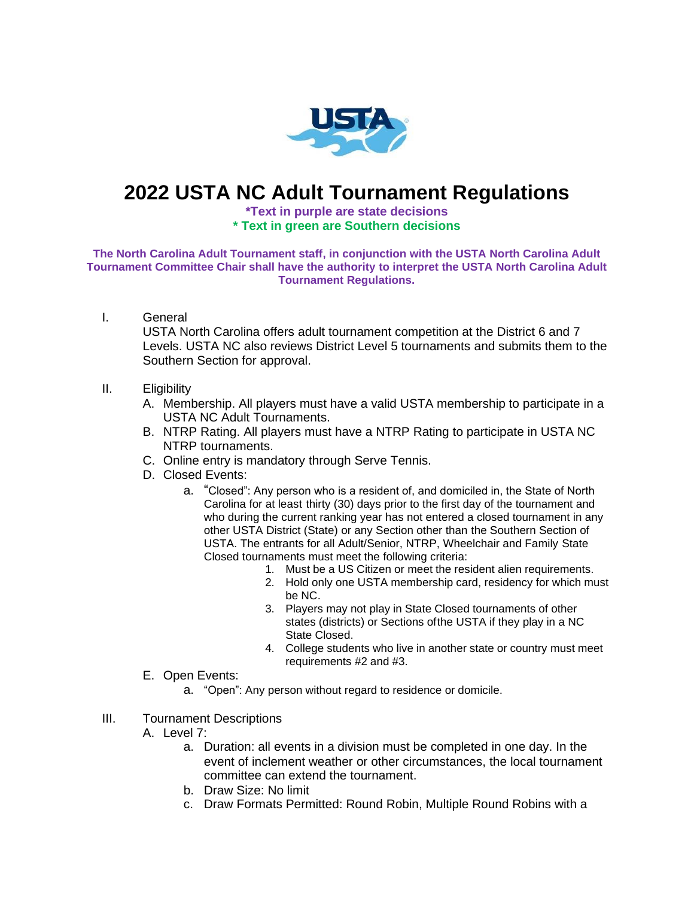

## **2022 USTA NC Adult Tournament Regulations**

## **\*Text in purple are state decisions \* Text in green are Southern decisions**

**The North Carolina Adult Tournament staff, in conjunction with the USTA North Carolina Adult Tournament Committee Chair shall have the authority to interpret the USTA North Carolina Adult Tournament Regulations.**

I. General

USTA North Carolina offers adult tournament competition at the District 6 and 7 Levels. USTA NC also reviews District Level 5 tournaments and submits them to the Southern Section for approval.

## II. Eligibility

- A. Membership. All players must have a valid USTA membership to participate in a USTA NC Adult Tournaments.
- B. NTRP Rating. All players must have a NTRP Rating to participate in USTA NC NTRP tournaments.
- C. Online entry is mandatory through Serve Tennis.
- D. Closed Events:
	- a. "Closed": Any person who is a resident of, and domiciled in, the State of North Carolina for at least thirty (30) days prior to the first day of the tournament and who during the current ranking year has not entered a closed tournament in any other USTA District (State) or any Section other than the Southern Section of USTA. The entrants for all Adult/Senior, NTRP, Wheelchair and Family State Closed tournaments must meet the following criteria:
		- 1. Must be a US Citizen or meet the resident alien requirements.
		- 2. Hold only one USTA membership card, residency for which must be NC.
		- 3. Players may not play in State Closed tournaments of other states (districts) or Sections ofthe USTA if they play in a NC State Closed.
		- 4. College students who live in another state or country must meet requirements #2 and #3.
- E. Open Events:
	- a. "Open": Any person without regard to residence or domicile.
- III. Tournament Descriptions
	- A. Level 7:
		- a. Duration: all events in a division must be completed in one day. In the event of inclement weather or other circumstances, the local tournament committee can extend the tournament.
		- b. Draw Size: No limit
		- c. Draw Formats Permitted: Round Robin, Multiple Round Robins with a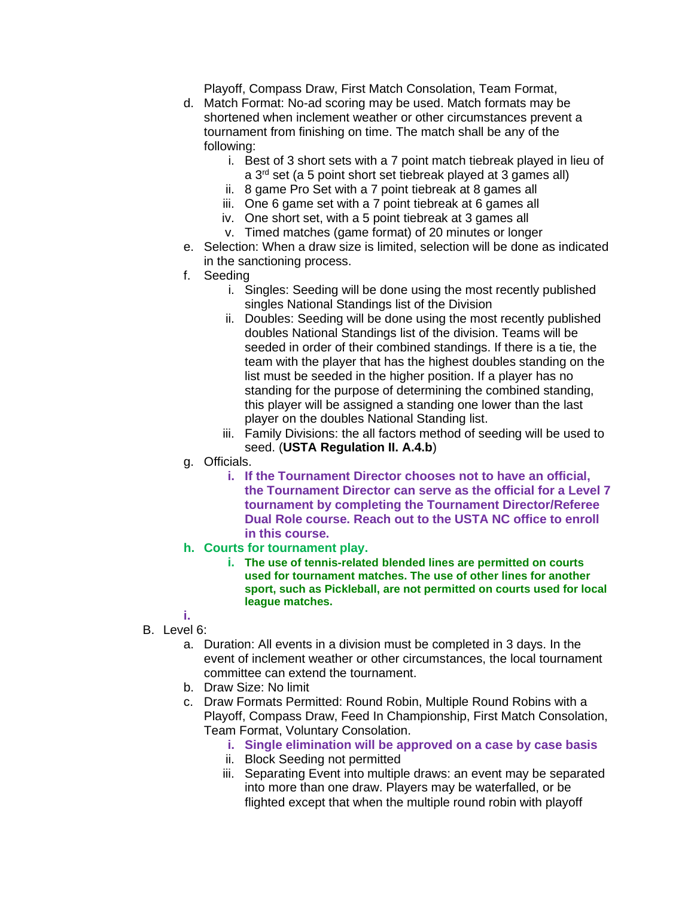Playoff, Compass Draw, First Match Consolation, Team Format,

- d. Match Format: No-ad scoring may be used. Match formats may be shortened when inclement weather or other circumstances prevent a tournament from finishing on time. The match shall be any of the following:
	- i. Best of 3 short sets with a 7 point match tiebreak played in lieu of
	- a 3rd set (a 5 point short set tiebreak played at 3 games all)
	- ii. 8 game Pro Set with a 7 point tiebreak at 8 games all iii. One 6 game set with a 7 point tiebreak at 6 games all
	- iv. One short set, with a 5 point tiebreak at 3 games all
	- v. Timed matches (game format) of 20 minutes or longer
- e. Selection: When a draw size is limited, selection will be done as indicated in the sanctioning process.
- f. Seeding
	- i. Singles: Seeding will be done using the most recently published singles National Standings list of the Division
	- ii. Doubles: Seeding will be done using the most recently published doubles National Standings list of the division. Teams will be seeded in order of their combined standings. If there is a tie, the team with the player that has the highest doubles standing on the list must be seeded in the higher position. If a player has no standing for the purpose of determining the combined standing, this player will be assigned a standing one lower than the last player on the doubles National Standing list.
	- iii. Family Divisions: the all factors method of seeding will be used to seed. (**USTA Regulation II. A.4.b**)
- g. Officials.
	- **i. If the Tournament Director chooses not to have an official, the Tournament Director can serve as the official for a Level 7 tournament by completing the Tournament Director/Referee Dual Role course. Reach out to the USTA NC office to enroll in this course.**
- **h. Courts for tournament play.**
	- **i. The use of tennis-related blended lines are permitted on courts used for tournament matches. The use of other lines for another sport, such as Pickleball, are not permitted on courts used for local league matches.**
- **i.** B. Level 6:
	- a. Duration: All events in a division must be completed in 3 days. In the event of inclement weather or other circumstances, the local tournament committee can extend the tournament.
	- b. Draw Size: No limit
	- c. Draw Formats Permitted: Round Robin, Multiple Round Robins with a Playoff, Compass Draw, Feed In Championship, First Match Consolation, Team Format, Voluntary Consolation.
		- **i. Single elimination will be approved on a case by case basis**
		- ii. Block Seeding not permitted
		- iii. Separating Event into multiple draws: an event may be separated into more than one draw. Players may be waterfalled, or be flighted except that when the multiple round robin with playoff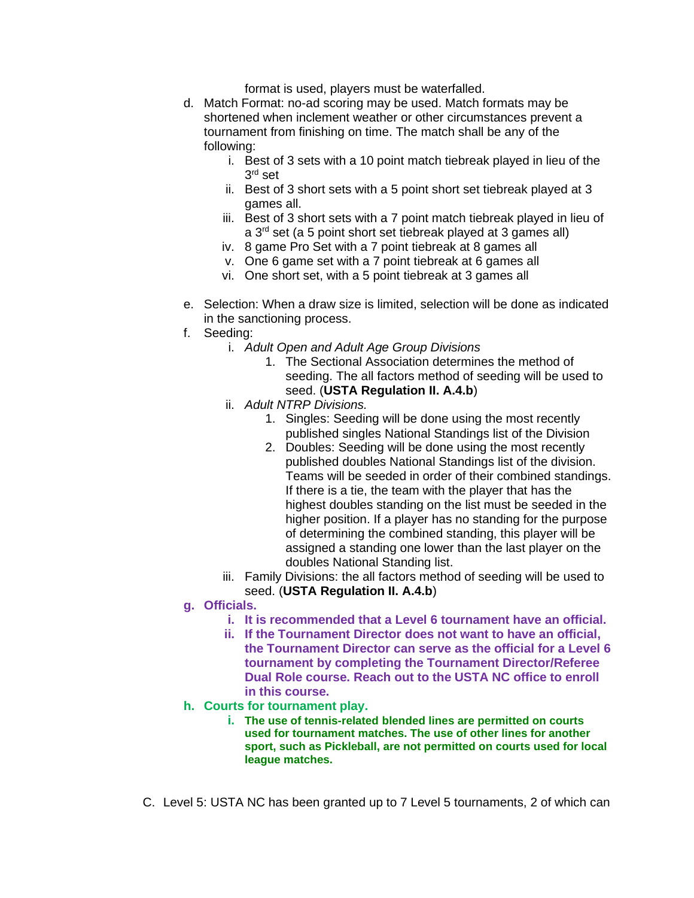format is used, players must be waterfalled.

- d. Match Format: no-ad scoring may be used. Match formats may be shortened when inclement weather or other circumstances prevent a tournament from finishing on time. The match shall be any of the following:
	- i. Best of 3 sets with a 10 point match tiebreak played in lieu of the  $3^{\mathsf{rd}}$  set
	- ii. Best of 3 short sets with a 5 point short set tiebreak played at 3 games all.
	- iii. Best of 3 short sets with a 7 point match tiebreak played in lieu of a 3rd set (a 5 point short set tiebreak played at 3 games all)
	- iv. 8 game Pro Set with a 7 point tiebreak at 8 games all
	- v. One 6 game set with a 7 point tiebreak at 6 games all
	- vi. One short set, with a 5 point tiebreak at 3 games all
- e. Selection: When a draw size is limited, selection will be done as indicated in the sanctioning process.
- f. Seeding:
	- i. *Adult Open and Adult Age Group Divisions*
		- 1. The Sectional Association determines the method of seeding. The all factors method of seeding will be used to seed. (**USTA Regulation II. A.4.b**)
	- ii. *Adult NTRP Divisions.*
		- 1. Singles: Seeding will be done using the most recently published singles National Standings list of the Division
		- 2. Doubles: Seeding will be done using the most recently published doubles National Standings list of the division. Teams will be seeded in order of their combined standings. If there is a tie, the team with the player that has the highest doubles standing on the list must be seeded in the higher position. If a player has no standing for the purpose of determining the combined standing, this player will be assigned a standing one lower than the last player on the doubles National Standing list.
	- iii. Family Divisions: the all factors method of seeding will be used to seed. (**USTA Regulation II. A.4.b**)
- **g. Officials.** 
	- **i. It is recommended that a Level 6 tournament have an official.**
	- **ii. If the Tournament Director does not want to have an official, the Tournament Director can serve as the official for a Level 6 tournament by completing the Tournament Director/Referee Dual Role course. Reach out to the USTA NC office to enroll in this course.**
- **h. Courts for tournament play.**
	- **i. The use of tennis-related blended lines are permitted on courts used for tournament matches. The use of other lines for another sport, such as Pickleball, are not permitted on courts used for local league matches.**
- C. Level 5: USTA NC has been granted up to 7 Level 5 tournaments, 2 of which can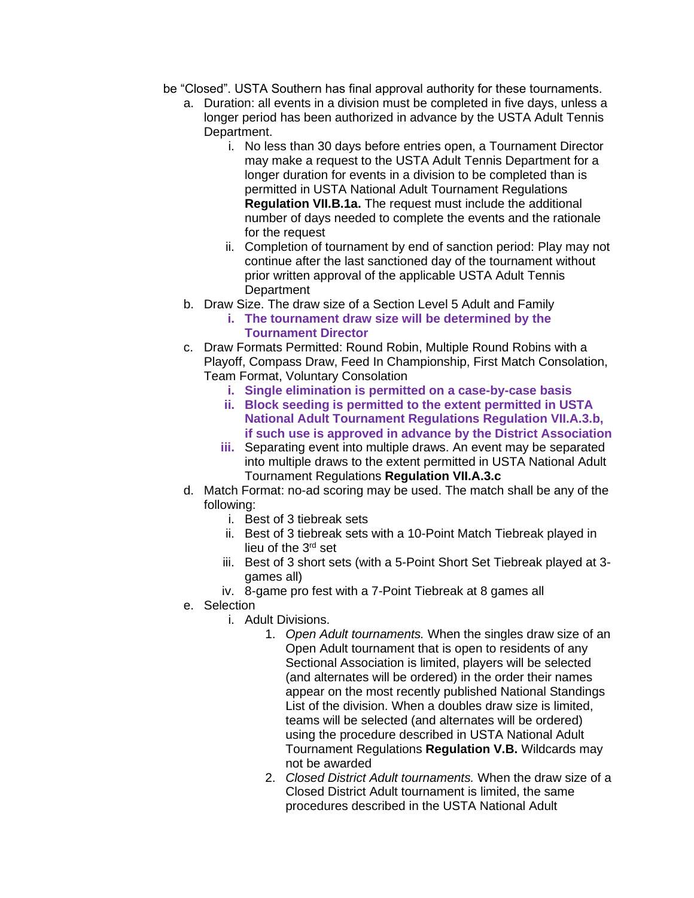- be "Closed". USTA Southern has final approval authority for these tournaments.
	- a. Duration: all events in a division must be completed in five days, unless a longer period has been authorized in advance by the USTA Adult Tennis Department.
		- i. No less than 30 days before entries open, a Tournament Director may make a request to the USTA Adult Tennis Department for a longer duration for events in a division to be completed than is permitted in USTA National Adult Tournament Regulations **Regulation VII.B.1a.** The request must include the additional number of days needed to complete the events and the rationale for the request
		- ii. Completion of tournament by end of sanction period: Play may not continue after the last sanctioned day of the tournament without prior written approval of the applicable USTA Adult Tennis **Department**
	- b. Draw Size. The draw size of a Section Level 5 Adult and Family
		- **i. The tournament draw size will be determined by the Tournament Director**
	- c. Draw Formats Permitted: Round Robin, Multiple Round Robins with a Playoff, Compass Draw, Feed In Championship, First Match Consolation, Team Format, Voluntary Consolation
		- **i. Single elimination is permitted on a case-by-case basis**
		- **ii. Block seeding is permitted to the extent permitted in USTA National Adult Tournament Regulations Regulation VII.A.3.b, if such use is approved in advance by the District Association**
		- **iii.** Separating event into multiple draws. An event may be separated into multiple draws to the extent permitted in USTA National Adult Tournament Regulations **Regulation VII.A.3.c**
	- d. Match Format: no-ad scoring may be used. The match shall be any of the following:
		- i. Best of 3 tiebreak sets
		- ii. Best of 3 tiebreak sets with a 10-Point Match Tiebreak played in lieu of the 3rd set
		- iii. Best of 3 short sets (with a 5-Point Short Set Tiebreak played at 3 games all)
		- iv. 8-game pro fest with a 7-Point Tiebreak at 8 games all
	- e. Selection
		- i. Adult Divisions.
			- 1. *Open Adult tournaments.* When the singles draw size of an Open Adult tournament that is open to residents of any Sectional Association is limited, players will be selected (and alternates will be ordered) in the order their names appear on the most recently published National Standings List of the division. When a doubles draw size is limited, teams will be selected (and alternates will be ordered) using the procedure described in USTA National Adult Tournament Regulations **Regulation V.B.** Wildcards may not be awarded
			- 2. *Closed District Adult tournaments.* When the draw size of a Closed District Adult tournament is limited, the same procedures described in the USTA National Adult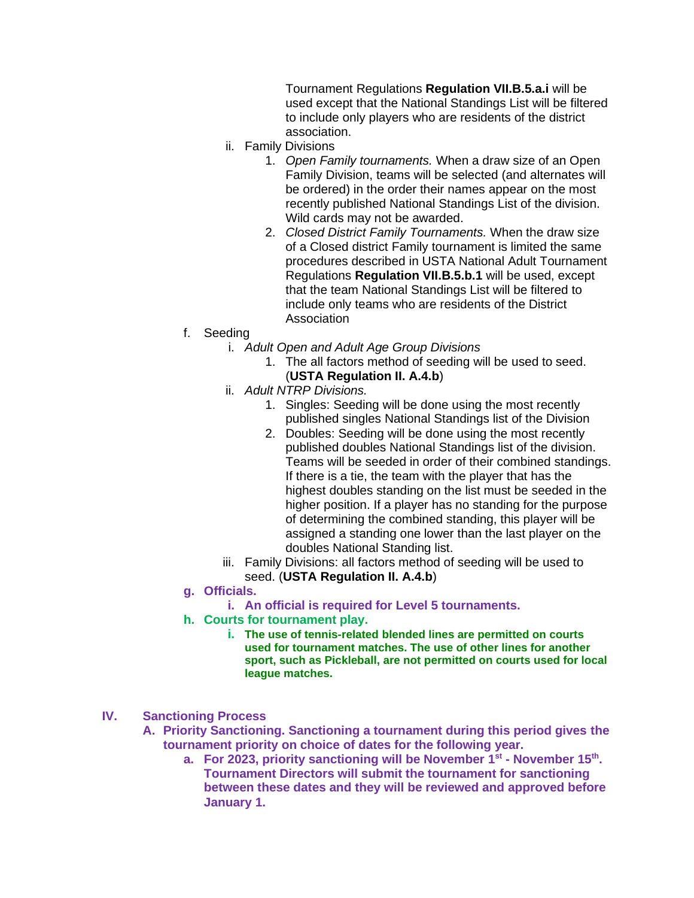Tournament Regulations **Regulation VII.B.5.a.i** will be used except that the National Standings List will be filtered to include only players who are residents of the district association.

- ii. Family Divisions
	- 1. *Open Family tournaments.* When a draw size of an Open Family Division, teams will be selected (and alternates will be ordered) in the order their names appear on the most recently published National Standings List of the division. Wild cards may not be awarded.
	- 2. *Closed District Family Tournaments.* When the draw size of a Closed district Family tournament is limited the same procedures described in USTA National Adult Tournament Regulations **Regulation VII.B.5.b.1** will be used, except that the team National Standings List will be filtered to include only teams who are residents of the District Association
- f. Seeding
	- i. *Adult Open and Adult Age Group Divisions*
		- 1. The all factors method of seeding will be used to seed. (**USTA Regulation II. A.4.b**)
	- ii. *Adult NTRP Divisions.*
		- 1. Singles: Seeding will be done using the most recently published singles National Standings list of the Division
		- 2. Doubles: Seeding will be done using the most recently published doubles National Standings list of the division. Teams will be seeded in order of their combined standings. If there is a tie, the team with the player that has the highest doubles standing on the list must be seeded in the higher position. If a player has no standing for the purpose of determining the combined standing, this player will be assigned a standing one lower than the last player on the doubles National Standing list.
	- iii. Family Divisions: all factors method of seeding will be used to seed. (**USTA Regulation II. A.4.b**)
- **g. Officials.** 
	- **i. An official is required for Level 5 tournaments.**
- **h. Courts for tournament play.**
	- **i. The use of tennis-related blended lines are permitted on courts used for tournament matches. The use of other lines for another sport, such as Pickleball, are not permitted on courts used for local league matches.**

## **IV. Sanctioning Process**

- **A. Priority Sanctioning. Sanctioning a tournament during this period gives the tournament priority on choice of dates for the following year.** 
	- **a. For 2023, priority sanctioning will be November 1st - November 15th . Tournament Directors will submit the tournament for sanctioning between these dates and they will be reviewed and approved before January 1.**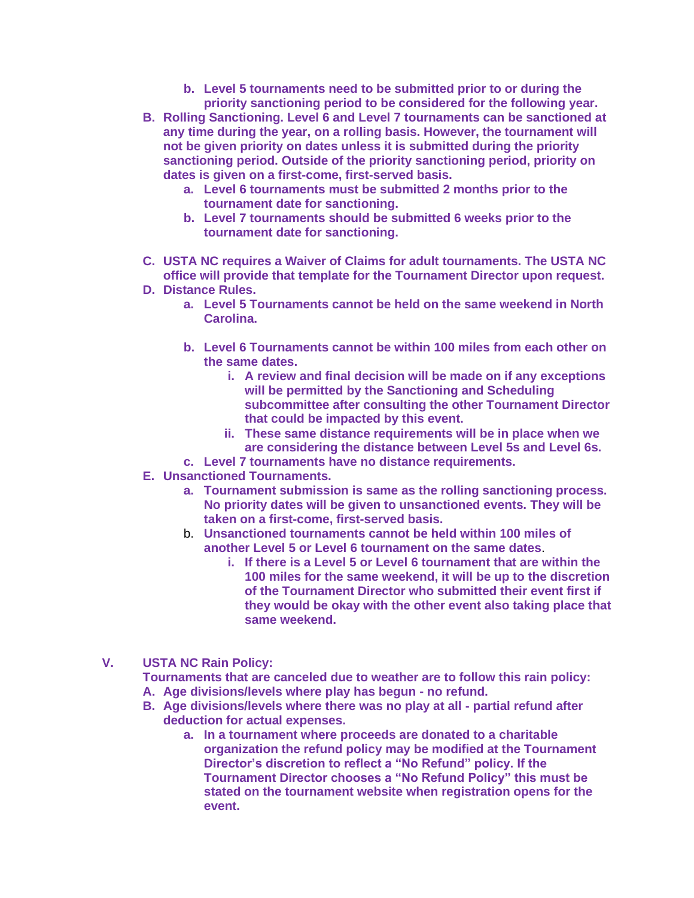- **b. Level 5 tournaments need to be submitted prior to or during the priority sanctioning period to be considered for the following year.**
- **B. Rolling Sanctioning. Level 6 and Level 7 tournaments can be sanctioned at any time during the year, on a rolling basis. However, the tournament will not be given priority on dates unless it is submitted during the priority sanctioning period. Outside of the priority sanctioning period, priority on dates is given on a first-come, first-served basis.** 
	- **a. Level 6 tournaments must be submitted 2 months prior to the tournament date for sanctioning.**
	- **b. Level 7 tournaments should be submitted 6 weeks prior to the tournament date for sanctioning.**
- **C. USTA NC requires a Waiver of Claims for adult tournaments. The USTA NC office will provide that template for the Tournament Director upon request.**
- **D. Distance Rules.** 
	- **a. Level 5 Tournaments cannot be held on the same weekend in North Carolina.**
	- **b. Level 6 Tournaments cannot be within 100 miles from each other on the same dates.** 
		- **i. A review and final decision will be made on if any exceptions will be permitted by the Sanctioning and Scheduling subcommittee after consulting the other Tournament Director that could be impacted by this event.**
		- **ii. These same distance requirements will be in place when we are considering the distance between Level 5s and Level 6s.**
	- **c. Level 7 tournaments have no distance requirements.**
- **E. Unsanctioned Tournaments.**
	- **a. Tournament submission is same as the rolling sanctioning process. No priority dates will be given to unsanctioned events. They will be taken on a first-come, first-served basis.**
	- b. **Unsanctioned tournaments cannot be held within 100 miles of another Level 5 or Level 6 tournament on the same dates**.
		- **i. If there is a Level 5 or Level 6 tournament that are within the 100 miles for the same weekend, it will be up to the discretion of the Tournament Director who submitted their event first if they would be okay with the other event also taking place that same weekend.**
- **V. USTA NC Rain Policy:**

**Tournaments that are canceled due to weather are to follow this rain policy: A. Age divisions/levels where play has begun - no refund.**

- **B. Age divisions/levels where there was no play at all - partial refund after deduction for actual expenses.** 
	- **a. In a tournament where proceeds are donated to a charitable organization the refund policy may be modified at the Tournament Director's discretion to reflect a "No Refund" policy. If the Tournament Director chooses a "No Refund Policy" this must be stated on the tournament website when registration opens for the event.**